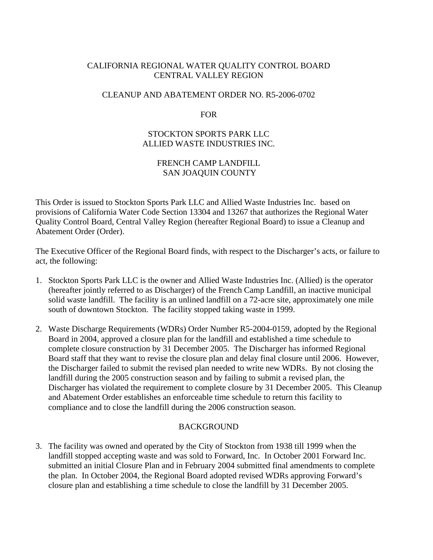## CALIFORNIA REGIONAL WATER QUALITY CONTROL BOARD CENTRAL VALLEY REGION

### CLEANUP AND ABATEMENT ORDER NO. R5-2006-0702

#### FOR

### STOCKTON SPORTS PARK LLC ALLIED WASTE INDUSTRIES INC.

# FRENCH CAMP LANDFILL SAN JOAQUIN COUNTY

This Order is issued to Stockton Sports Park LLC and Allied Waste Industries Inc. based on provisions of California Water Code Section 13304 and 13267 that authorizes the Regional Water Quality Control Board, Central Valley Region (hereafter Regional Board) to issue a Cleanup and Abatement Order (Order).

The Executive Officer of the Regional Board finds, with respect to the Discharger's acts, or failure to act, the following:

- 1. Stockton Sports Park LLC is the owner and Allied Waste Industries Inc. (Allied) is the operator (hereafter jointly referred to as Discharger) of the French Camp Landfill, an inactive municipal solid waste landfill. The facility is an unlined landfill on a 72-acre site, approximately one mile south of downtown Stockton. The facility stopped taking waste in 1999.
- 2. Waste Discharge Requirements (WDRs) Order Number R5-2004-0159, adopted by the Regional Board in 2004, approved a closure plan for the landfill and established a time schedule to complete closure construction by 31 December 2005. The Discharger has informed Regional Board staff that they want to revise the closure plan and delay final closure until 2006. However, the Discharger failed to submit the revised plan needed to write new WDRs. By not closing the landfill during the 2005 construction season and by failing to submit a revised plan, the Discharger has violated the requirement to complete closure by 31 December 2005. This Cleanup and Abatement Order establishes an enforceable time schedule to return this facility to compliance and to close the landfill during the 2006 construction season.

### BACKGROUND

3. The facility was owned and operated by the City of Stockton from 1938 till 1999 when the landfill stopped accepting waste and was sold to Forward, Inc. In October 2001 Forward Inc. submitted an initial Closure Plan and in February 2004 submitted final amendments to complete the plan. In October 2004, the Regional Board adopted revised WDRs approving Forward's closure plan and establishing a time schedule to close the landfill by 31 December 2005.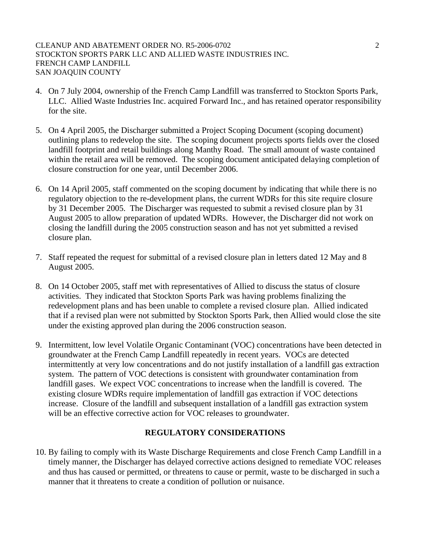#### CLEANUP AND ABATEMENT ORDER NO. R5-2006-0702 2 STOCKTON SPORTS PARK LLC AND ALLIED WASTE INDUSTRIES INC. FRENCH CAMP LANDFILL SAN JOAQUIN COUNTY

- 4. On 7 July 2004, ownership of the French Camp Landfill was transferred to Stockton Sports Park, LLC. Allied Waste Industries Inc. acquired Forward Inc., and has retained operator responsibility for the site.
- 5. On 4 April 2005, the Discharger submitted a Project Scoping Document (scoping document) outlining plans to redevelop the site. The scoping document projects sports fields over the closed landfill footprint and retail buildings along Manthy Road. The small amount of waste contained within the retail area will be removed. The scoping document anticipated delaying completion of closure construction for one year, until December 2006.
- 6. On 14 April 2005, staff commented on the scoping document by indicating that while there is no regulatory objection to the re-development plans, the current WDRs for this site require closure by 31 December 2005. The Discharger was requested to submit a revised closure plan by 31 August 2005 to allow preparation of updated WDRs. However, the Discharger did not work on closing the landfill during the 2005 construction season and has not yet submitted a revised closure plan.
- 7. Staff repeated the request for submittal of a revised closure plan in letters dated 12 May and 8 August 2005.
- 8. On 14 October 2005, staff met with representatives of Allied to discuss the status of closure activities. They indicated that Stockton Sports Park was having problems finalizing the redevelopment plans and has been unable to complete a revised closure plan. Allied indicated that if a revised plan were not submitted by Stockton Sports Park, then Allied would close the site under the existing approved plan during the 2006 construction season.
- 9. Intermittent, low level Volatile Organic Contaminant (VOC) concentrations have been detected in groundwater at the French Camp Landfill repeatedly in recent years. VOCs are detected intermittently at very low concentrations and do not justify installation of a landfill gas extraction system. The pattern of VOC detections is consistent with groundwater contamination from landfill gases. We expect VOC concentrations to increase when the landfill is covered. The existing closure WDRs require implementation of landfill gas extraction if VOC detections increase. Closure of the landfill and subsequent installation of a landfill gas extraction system will be an effective corrective action for VOC releases to groundwater.

### **REGULATORY CONSIDERATIONS**

10. By failing to comply with its Waste Discharge Requirements and close French Camp Landfill in a timely manner, the Discharger has delayed corrective actions designed to remediate VOC releases and thus has caused or permitted, or threatens to cause or permit, waste to be discharged in such a manner that it threatens to create a condition of pollution or nuisance.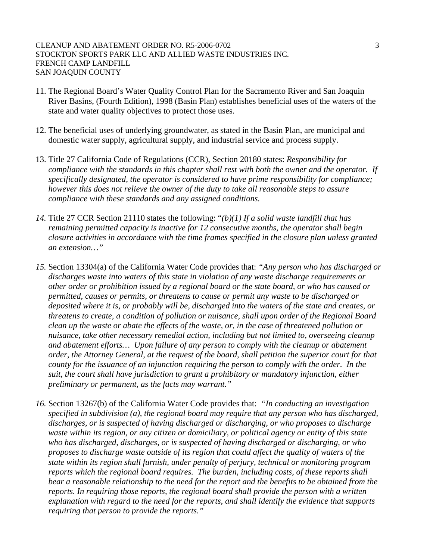#### CLEANUP AND ABATEMENT ORDER NO. R5-2006-0702 3 STOCKTON SPORTS PARK LLC AND ALLIED WASTE INDUSTRIES INC. FRENCH CAMP LANDFILL SAN JOAQUIN COUNTY

- 11. The Regional Board's Water Quality Control Plan for the Sacramento River and San Joaquin River Basins, (Fourth Edition), 1998 (Basin Plan) establishes beneficial uses of the waters of the state and water quality objectives to protect those uses.
- 12. The beneficial uses of underlying groundwater, as stated in the Basin Plan, are municipal and domestic water supply, agricultural supply, and industrial service and process supply.
- 13. Title 27 California Code of Regulations (CCR), Section 20180 states: *Responsibility for compliance with the standards in this chapter shall rest with both the owner and the operator. If specifically designated, the operator is considered to have prime responsibility for compliance; however this does not relieve the owner of the duty to take all reasonable steps to assure compliance with these standards and any assigned conditions.*
- *14.* Title 27 CCR Section 21110 states the following: "*(b)(1) If a solid waste landfill that has remaining permitted capacity is inactive for 12 consecutive months, the operator shall begin closure activities in accordance with the time frames specified in the closure plan unless granted an extension…"*
- *15.* Section 13304(a) of the California Water Code provides that: *"Any person who has discharged or discharges waste into waters of this state in violation of any waste discharge requirements or other order or prohibition issued by a regional board or the state board, or who has caused or permitted, causes or permits, or threatens to cause or permit any waste to be discharged or deposited where it is, or probably will be, discharged into the waters of the state and creates, or threatens to create, a condition of pollution or nuisance, shall upon order of the Regional Board clean up the waste or abate the effects of the waste, or, in the case of threatened pollution or nuisance, take other necessary remedial action, including but not limited to, overseeing cleanup and abatement efforts… Upon failure of any person to comply with the cleanup or abatement order, the Attorney General, at the request of the board, shall petition the superior court for that county for the issuance of an injunction requiring the person to comply with the order. In the suit, the court shall have jurisdiction to grant a prohibitory or mandatory injunction, either preliminary or permanent, as the facts may warrant."*
- *16.* Section 13267(b) of the California Water Code provides that: *"In conducting an investigation specified in subdivision (a), the regional board may require that any person who has discharged, discharges, or is suspected of having discharged or discharging, or who proposes to discharge waste within its region, or any citizen or domiciliary, or political agency or entity of this state who has discharged, discharges, or is suspected of having discharged or discharging, or who proposes to discharge waste outside of its region that could affect the quality of waters of the state within its region shall furnish, under penalty of perjury, technical or monitoring program reports which the regional board requires. The burden, including costs, of these reports shall bear a reasonable relationship to the need for the report and the benefits to be obtained from the reports. In requiring those reports, the regional board shall provide the person with a written explanation with regard to the need for the reports, and shall identify the evidence that supports requiring that person to provide the reports."*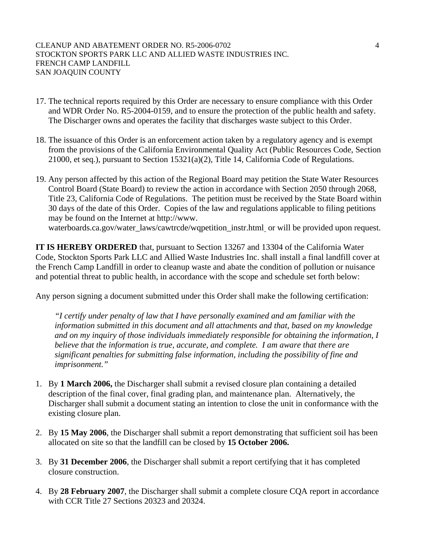#### CLEANUP AND ABATEMENT ORDER NO. R5-2006-0702 4 STOCKTON SPORTS PARK LLC AND ALLIED WASTE INDUSTRIES INC. FRENCH CAMP LANDFILL SAN JOAQUIN COUNTY

- 17. The technical reports required by this Order are necessary to ensure compliance with this Order and WDR Order No. R5-2004-0159, and to ensure the protection of the public health and safety. The Discharger owns and operates the facility that discharges waste subject to this Order.
- 18. The issuance of this Order is an enforcement action taken by a regulatory agency and is exempt from the provisions of the California Environmental Quality Act (Public Resources Code, Section 21000, et seq.), pursuant to Section 15321(a)(2), Title 14, California Code of Regulations.
- 19. Any person affected by this action of the Regional Board may petition the State Water Resources Control Board (State Board) to review the action in accordance with Section 2050 through 2068, Title 23, California Code of Regulations. The petition must be received by the State Board within 30 days of the date of this Order. Copies of the law and regulations applicable to filing petitions may be found on the Internet at http://www. waterboards.ca.gov/water\_laws/cawtrcde/wqpetition\_instr.html or will be provided upon request.

**IT IS HEREBY ORDERED** that, pursuant to Section 13267 and 13304 of the California Water Code, Stockton Sports Park LLC and Allied Waste Industries Inc. shall install a final landfill cover at the French Camp Landfill in order to cleanup waste and abate the condition of pollution or nuisance and potential threat to public health, in accordance with the scope and schedule set forth below:

Any person signing a document submitted under this Order shall make the following certification:

*"I certify under penalty of law that I have personally examined and am familiar with the information submitted in this document and all attachments and that, based on my knowledge and on my inquiry of those individuals immediately responsible for obtaining the information, I believe that the information is true, accurate, and complete. I am aware that there are significant penalties for submitting false information, including the possibility of fine and imprisonment."* 

- 1. By **1 March 2006,** the Discharger shall submit a revised closure plan containing a detailed description of the final cover, final grading plan, and maintenance plan. Alternatively, the Discharger shall submit a document stating an intention to close the unit in conformance with the existing closure plan.
- 2. By **15 May 2006**, the Discharger shall submit a report demonstrating that sufficient soil has been allocated on site so that the landfill can be closed by **15 October 2006.**
- 3. By **31 December 2006**, the Discharger shall submit a report certifying that it has completed closure construction.
- 4. By **28 February 2007**, the Discharger shall submit a complete closure CQA report in accordance with CCR Title 27 Sections 20323 and 20324.